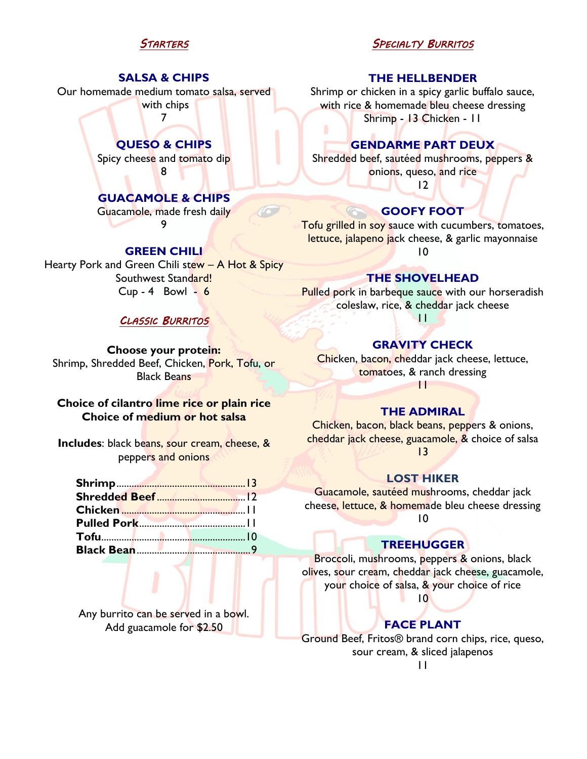# *STARTERS*

### **SALSA & CHIPS**

Our homemade medium tomato salsa, served with chips

7

**QUESO & CHIPS** Spicy cheese and tomato dip 8

## **GUACAMOLE & CHIPS**

Guacamole, made fresh daily 9

#### **GREEN CHILI**

Hearty Pork and Green Chili stew - A Hot & Spicy Southwest Standard!  $Cup - 4$  Bowl -  $6$ 

## *CLASSIC BURRITOS*

**Choose your protein:** Shrimp, Shredded Beef, Chicken, Pork, Tofu, or Black Beans

## **Choice of cilantro lime rice or plain rice Choice of medium or hot salsa**

**Includes:** black beans, sour cream, cheese, & peppers and onions

Any burrito can be served in a bowl. Add guacamole for \$2.50

## *SPECIALTY BURRITOS*

#### **THE HELLBENDER**

Shrimp or chicken in a spicy garlic buffalo sauce, with rice & homemade bleu cheese dressing Shrimp - 13 Chicken - 11

### **GENDARME PART DEUX**

Shredded beef, sautéed mushrooms, peppers & onions, queso, and rice

12

# **GOOFY FOOT**

Tofu grilled in soy sauce with cucumbers, tomatoes, lettuce, jalapeno jack cheese, & garlic mayonnaise 10

#### **THE SHOVELHEAD**

**Pulled pork in barbeque sauce with our horseradish** coleslaw, rice, & cheddar jack cheese

11

## **GRAVITY CHECK**

Chicken, bacon, cheddar jack cheese, lettuce, tomatoes, & ranch dressing 11

## **THE ADMIRAL**

Chicken, bacon, black beans, peppers & onions, cheddar jack cheese, guacamole, & choice of salsa 13

#### **LOST HIKER**

Guacamole, sautéed mushrooms, cheddar jack cheese, lettuce, & homemade bleu cheese dressing 10

### **TREEHUGGER**

Broccoli, mushrooms, peppers & onions, black olives, sour cream, cheddar jack cheese, guacamole, your choice of salsa, & your choice of rice

10

### **FACE PLANT**

Ground Beef, Fritos® brand corn chips, rice, queso, sour cream, & sliced jalapenos

11